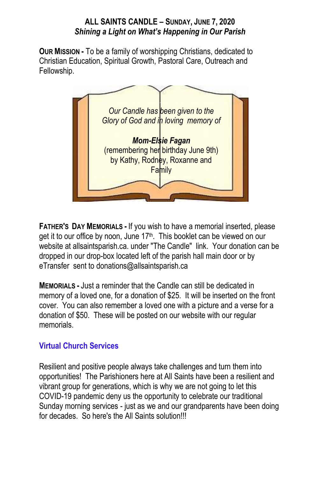### **ALL SAINTS CANDLE – SUNDAY, JUNE 7, 2020** *Shining a Light on What's Happening in Our Parish*

**OUR MISSION -** To be a family of worshipping Christians, dedicated to Christian Education, Spiritual Growth, Pastoral Care, Outreach and Fellowship.



**FATHER'S DAY MEMORIALS -** If you wish to have a memorial inserted, please get it to our office by noon, June 17<sup>th</sup>. This booklet can be viewed on our website at allsaintsparish.ca. under "The Candle" link. Your donation can be dropped in our drop-box located left of the parish hall main door or by eTransfer sent to donations@allsaintsparish.ca

**MEMORIALS -** Just a reminder that the Candle can still be dedicated in memory of a loved one, for a donation of \$25. It will be inserted on the front cover. You can also remember a loved one with a picture and a verse for a donation of \$50. These will be posted on our website with our regular memorials.

## **Virtual Church Services**

Resilient and positive people always take challenges and turn them into opportunities! The Parishioners here at All Saints have been a resilient and vibrant group for generations, which is why we are not going to let this COVID-19 pandemic deny us the opportunity to celebrate our traditional Sunday morning services - just as we and our grandparents have been doing for decades. So here's the All Saints solution!!!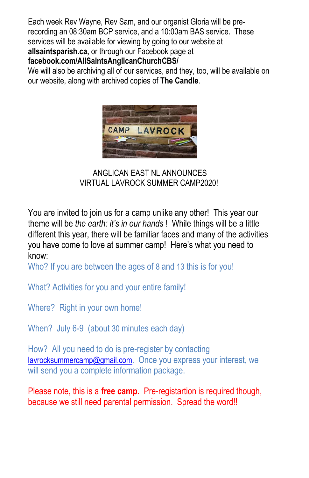Each week Rev Wayne, Rev Sam, and our organist Gloria will be prerecording an 08:30am BCP service, and a 10:00am BAS service. These services will be available for viewing by going to our website at **allsaintsparish.ca,** or through our Facebook page at **facebook.com/AllSaintsAnglicanChurchCBS/**

We will also be archiving all of our services, and they, too, will be available on our website, along with archived copies of **The Candle**.



ANGLICAN EAST NL ANNOUNCES VIRTUAL LAVROCK SUMMER CAMP2020!

You are invited to join us for a camp unlike any other! This year our theme will be *the earth: it's in our hands* ! While things will be a little different this year, there will be familiar faces and many of the activities you have come to love at summer camp! Here's what you need to know:

Who? If you are between the ages of 8 and 13 this is for you!

What? Activities for you and your entire family!

Where? Right in your own home!

When? July 6-9 (about 30 minutes each day)

How? All you need to do is pre-register by contacting [lavrocksummercamp@gmail.com.](mailto:lavrocksummercamp@gmail.com) Once you express your interest, we will send you a complete information package.

Please note, this is a **free camp.** Pre-registartion is required though, because we still need parental permission. Spread the word!!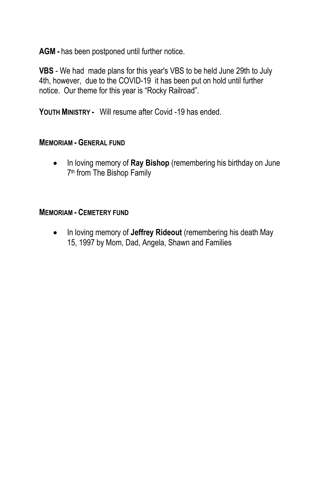**AGM -** has been postponed until further notice.

**VBS** - We had made plans for this year's VBS to be held June 29th to July 4th, however, due to the COVID-19 it has been put on hold until further notice. Our theme for this year is "Rocky Railroad".

**YOUTH MINISTRY -** Will resume after Covid -19 has ended.

#### **MEMORIAM - GENERAL FUND**

 In loving memory of **Ray Bishop** (remembering his birthday on June 7<sup>th</sup> from The Bishop Family

#### **MEMORIAM - CEMETERY FUND**

 In loving memory of **Jeffrey Rideout** (remembering his death May 15, 1997 by Mom, Dad, Angela, Shawn and Families